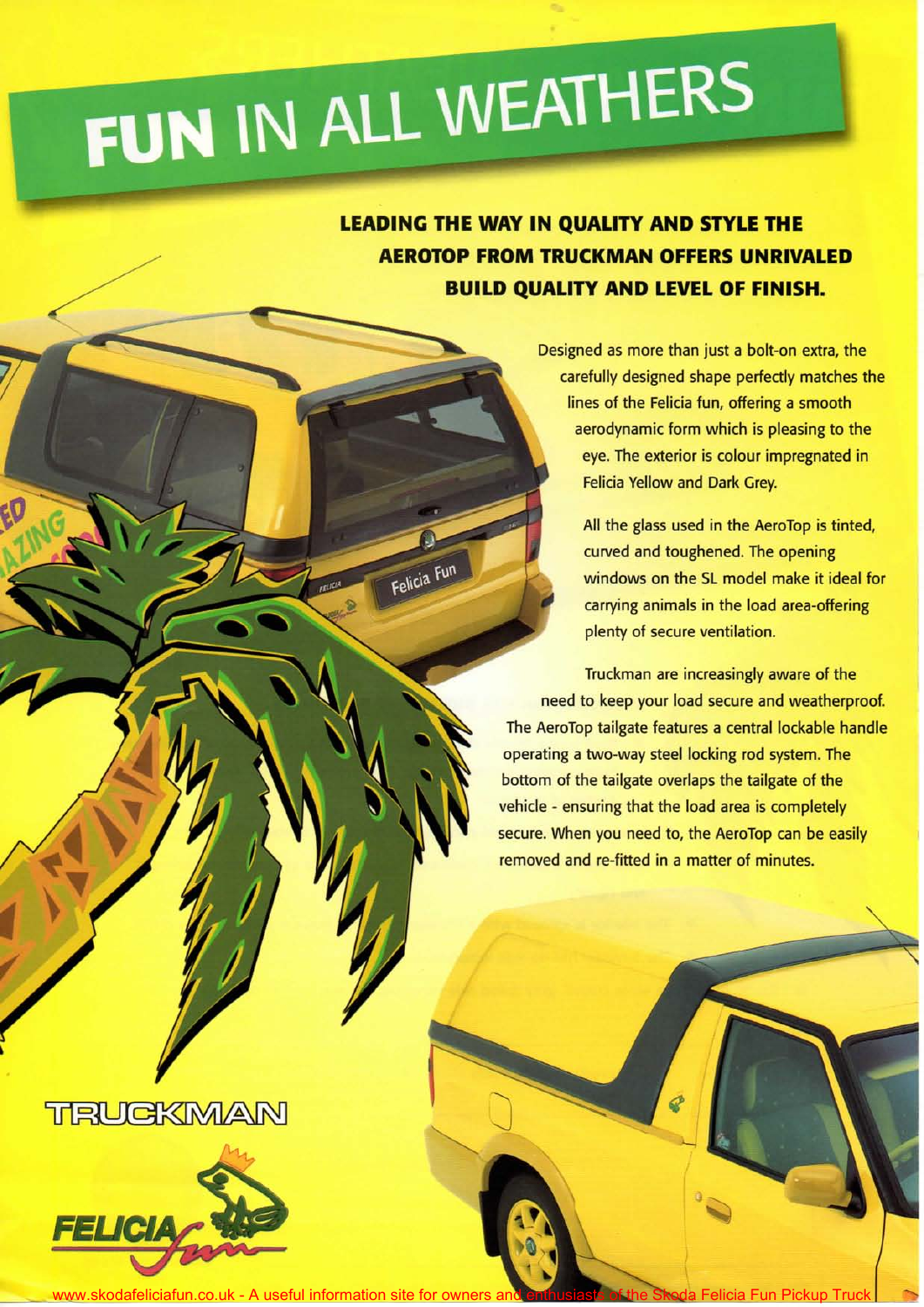## FUN IN ALL WEATHERS

Felicia Fun

**LEADING THE WAY IN QUALITY AND STYLE THE AEROTOP FROM TRUCKMAN OFFERS UNRIVALED BUILD QUALITY AND LEVEL OF FINISH.** 

> Designed as more than just a bolt-on extra, the carefully designed shape perfectly matches the lines of the Felicia fun, offering a smooth aerodynamic form which is pleasing to the eye. The exterior is colour impregnated in Felicia Yellow and Dark Grey.

> > All the glass used in the AeroTop is tinted, curved and toughened. The opening windows on the SL model make it ideal for carrying animals in the load area-offering plenty of secure ventilation.

Truckman are increasingly aware of the need to keep your load secure and weatherproof. The AeroTop tailgate features a central lockable handle operating a two-way steel locking rod system. The bottom of the tailgate overlaps the tailgate of the vehicle - ensuring that the load area is completely secure. When you need to, the AeroTop can be easily removed and re-fitted in a matter of minutes.

## TRUGKMAN